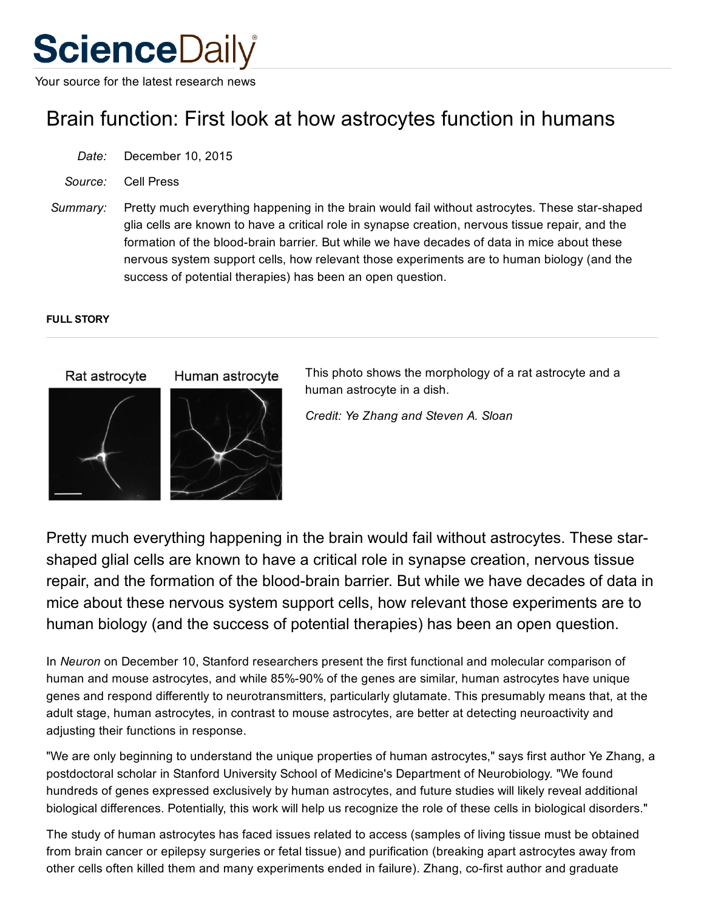# **ScienceDaily**

Your source for the latest research news

## Brain function: First look at how astrocytes function in humans

- *Date:* December 10, 2015
- *Source:* Cell Press
- *Summary:* Pretty much everything happening in the brain would fail without astrocytes. These star-shaped glia cells are known to have a critical role in synapse creation, nervous tissue repair, and the formation of the blood-brain barrier. But while we have decades of data in mice about these nervous system support cells, how relevant those experiments are to human biology (and the success of potential therapies) has been an open question.

#### FULL STORY



This photo shows the morphology of a rat astrocyte and a human astrocyte in a dish.

*Credit: Ye Zhang and Steven A. Sloan*

Pretty much everything happening in the brain would fail without astrocytes. These starshaped glial cells are known to have a critical role in synapse creation, nervous tissue repair, and the formation of the blood-brain barrier. But while we have decades of data in mice about these nervous system support cells, how relevant those experiments are to human biology (and the success of potential therapies) has been an open question.

In *Neuron* on December 10, Stanford researchers present the first functional and molecular comparison of human and mouse astrocytes, and while 85%-90% of the genes are similar, human astrocytes have unique genes and respond differently to neurotransmitters, particularly glutamate. This presumably means that, at the adult stage, human astrocytes, in contrast to mouse astrocytes, are better at detecting neuroactivity and adjusting their functions in response.

"We are only beginning to understand the unique properties of human astrocytes," says first author Ye Zhang, a postdoctoral scholar in Stanford University School of Medicine's Department of Neurobiology. "We found hundreds of genes expressed exclusively by human astrocytes, and future studies will likely reveal additional biological differences. Potentially, this work will help us recognize the role of these cells in biological disorders."

The study of human astrocytes has faced issues related to access (samples of living tissue must be obtained from brain cancer or epilepsy surgeries or fetal tissue) and purification (breaking apart astrocytes away from other cells often killed them and many experiments ended in failure). Zhang, co-first author and graduate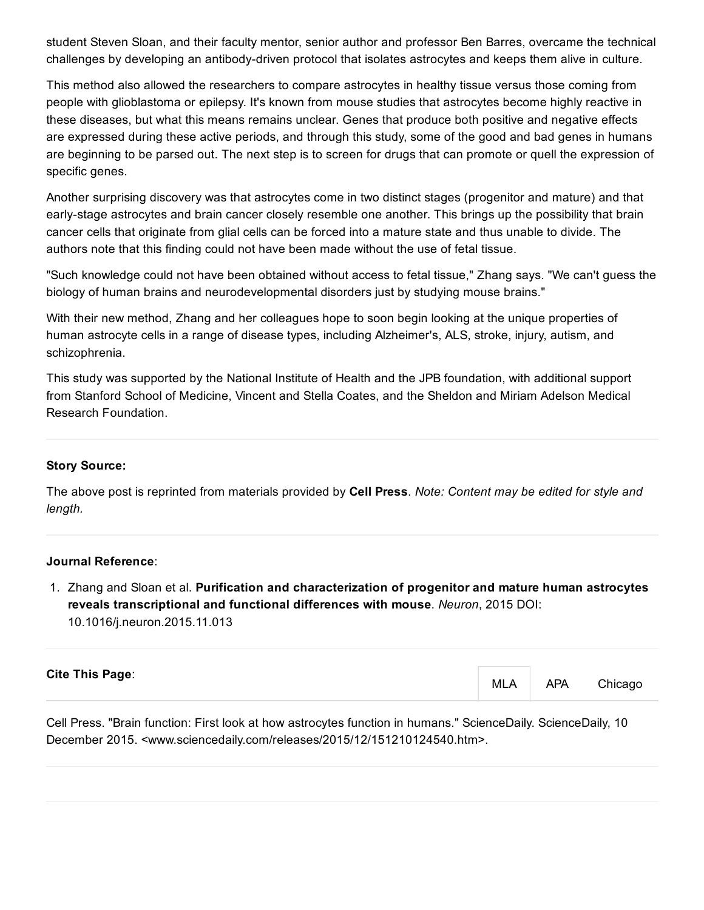student Steven Sloan, and their faculty mentor, senior author and professor Ben Barres, overcame the technical challenges by developing an antibody-driven protocol that isolates astrocytes and keeps them alive in culture.

This method also allowed the researchers to compare astrocytes in healthy tissue versus those coming from people with glioblastoma or epilepsy. It's known from mouse studies that astrocytes become highly reactive in these diseases, but what this means remains unclear. Genes that produce both positive and negative effects are expressed during these active periods, and through this study, some of the good and bad genes in humans are beginning to be parsed out. The next step is to screen for drugs that can promote or quell the expression of specific genes.

Another surprising discovery was that astrocytes come in two distinct stages (progenitor and mature) and that early-stage astrocytes and brain cancer closely resemble one another. This brings up the possibility that brain cancer cells that originate from glial cells can be forced into a mature state and thus unable to divide. The authors note that this finding could not have been made without the use of fetal tissue.

"Such knowledge could not have been obtained without access to fetal tissue," Zhang says. "We can't guess the biology of human brains and neurodevelopmental disorders just by studying mouse brains."

With their new method, Zhang and her colleagues hope to soon begin looking at the unique properties of human astrocyte cells in a range of disease types, including Alzheimer's, ALS, stroke, injury, autism, and schizophrenia.

This study was supported by the National Institute of Health and the JPB foundation, with additional support from Stanford School of Medicine, Vincent and Stella Coates, and the Sheldon and Miriam Adelson Medical Research Foundation.

#### Story Source:

The above post is reprinted from [materials](http://www.eurekalert.org/pub_releases/2015-12/cp-fla120315.php) provided by Cell [Press.](http://www.cellpress.com/) *Note: Content may be edited for style and length.*

#### Journal Reference:

1. Zhang and Sloan et al. Purification and characterization of progenitor and mature human astrocytes reveals transcriptional and functional differences with mouse. *Neuron*, 2015 DOI: [10.1016/j.neuron.2015.11.013](http://dx.doi.org/10.1016/j.neuron.2015.11.013)

| <b>Cite This Page:</b> | <b>MLA</b> | <b>APA</b> | Chicago |
|------------------------|------------|------------|---------|
|                        |            |            |         |

Cell Press. "Brain function: First look at how astrocytes function in humans." ScienceDaily. ScienceDaily, 10 December 2015. <www.sciencedaily.com/releases/2015/12/151210124540.htm>.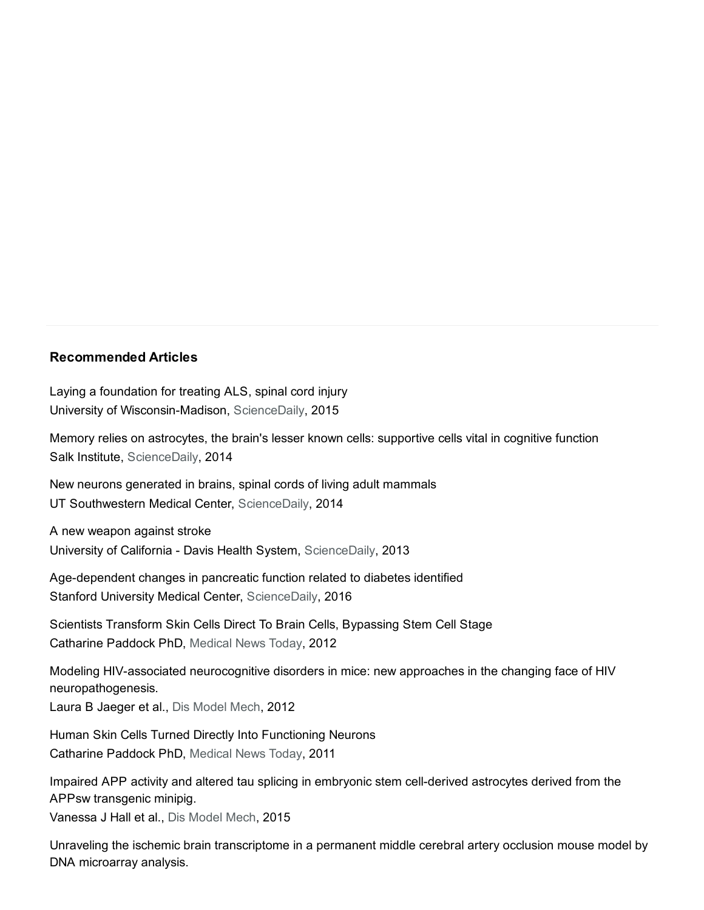### Recommended Articles

Laying a [foundation](https://www.sciencedaily.com/releases/2015/02/150202123259.htm?trendmd-shared=0) for treating ALS, spinal cord injury University of Wisconsin-Madison, ScienceDaily, 2015

Memory relies on [astrocytes,](https://www.sciencedaily.com/releases/2014/07/140728154036.htm?trendmd-shared=0) the brain's lesser known cells: supportive cells vital in cognitive function Salk Institute, ScienceDaily, 2014

New neurons [generated](https://www.sciencedaily.com/releases/2014/02/140225122510.htm?trendmd-shared=0) in brains, spinal cords of living adult mammals UT Southwestern Medical Center, ScienceDaily, 2014

A new [weapon](https://www.sciencedaily.com/releases/2013/07/130723113659.htm?trendmd-shared=0) against stroke University of California - Davis Health System, ScienceDaily, 2013

Age-dependent changes in pancreatic function related to diabetes identified Stanford University Medical Center, ScienceDaily, 2016

Scientists Transform Skin Cells Direct To Brain Cells, [Bypassing](http://www.medicalnewstoday.com/articles/240943.php?trendmd-shared=1) Stem Cell Stage Catharine Paddock PhD, Medical News Today, 2012

Modeling HIV-associated neurocognitive disorders in mice: new approaches in the changing face of HIV [neuropathogenesis.](http://dmm.biologists.org/cgi/pmidlookup?pmid=22563057&trendmd-shared=1&view=long)

Laura B Jaeger et al., Dis Model Mech, 2012

Human Skin Cells Turned Directly Into [Functioning](http://www.medicalnewstoday.com/articles/226693.php?sr&trendmd-shared=1) Neurons Catharine Paddock PhD, Medical News Today, 2011

Impaired APP activity and altered tau splicing in embryonic stem cell-derived astrocytes derived from the APPsw transgenic minipig.

Vanessa J Hall et al., Dis Model Mech, 2015

Unraveling the ischemic brain [transcriptome](http://dmm.biologists.org/cgi/pmidlookup?pmid=22015461&trendmd-shared=1&view=long) in a permanent middle cerebral artery occlusion mouse model by DNA microarray analysis.